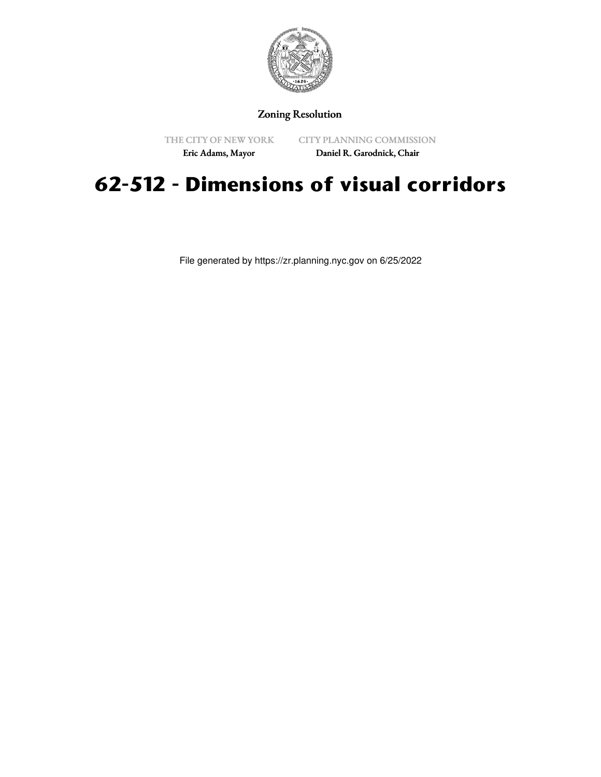

Zoning Resolution

THE CITY OF NEW YORK

CITY PLANNING COMMISSION

Eric Adams, Mayor

Daniel R. Garodnick, Chair

## **62-512 - Dimensions of visual corridors**

File generated by https://zr.planning.nyc.gov on 6/25/2022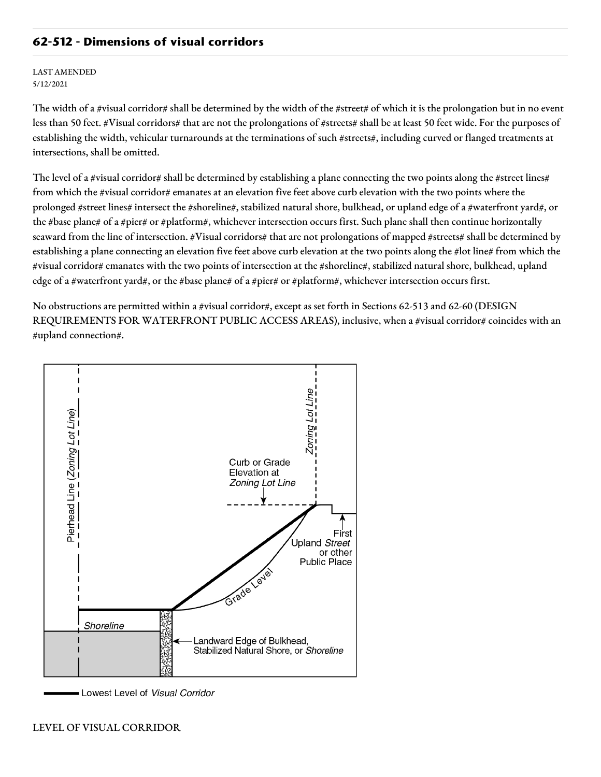## **62-512 - Dimensions of visual corridors**

LAST AMENDED 5/12/2021

The width of a #visual corridor# shall be determined by the width of the #street# of which it is the prolongation but in no event less than 50 feet. #Visual corridors# that are not the prolongations of #streets# shall be at least 50 feet wide. For the purposes of establishing the width, vehicular turnarounds at the terminations of such #streets#, including curved or flanged treatments at intersections, shall be omitted.

The level of a #visual corridor# shall be determined by establishing a plane connecting the two points along the #street lines# from which the #visual corridor# emanates at an elevation five feet above curb elevation with the two points where the prolonged #street lines# intersect the #shoreline#, stabilized natural shore, bulkhead, or upland edge of a #waterfront yard#, or the #base plane# of a #pier# or #platform#, whichever intersection occurs first. Such plane shall then continue horizontally seaward from the line of intersection. #Visual corridors# that are not prolongations of mapped #streets# shall be determined by establishing a plane connecting an elevation five feet above curb elevation at the two points along the #lot line# from which the #visual corridor# emanates with the two points of intersection at the #shoreline#, stabilized natural shore, bulkhead, upland edge of a #waterfront yard#, or the #base plane# of a #pier# or #platform#, whichever intersection occurs first.

No obstructions are permitted within a #visual corridor#, except as set forth in Sections 62-513 and 62-60 (DESIGN REQUIREMENTS FOR WATERFRONT PUBLIC ACCESS AREAS), inclusive, when a #visual corridor# coincides with an #upland connection#.



Lowest Level of Visual Corridor